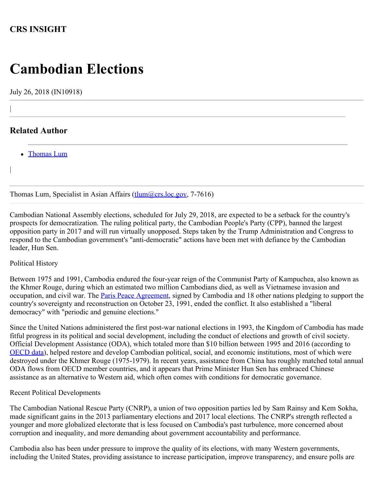## **CRS INSIGHT**

# **Cambodian Elections**

July 26, 2018 (IN10918)

### **Related Author**

|

|

• [Thomas Lum](http://www.crs.gov/Author/index?id=40841)

Thomas Lum, Specialist in Asian Affairs (thum (a) crs.loc.gov, 7-7616)

Cambodian National Assembly elections, scheduled for July 29, 2018, are expected to be a setback for the country's prospects for democratization. The ruling political party, the Cambodian People's Party (CPP), banned the largest opposition party in 2017 and will run virtually unopposed. Steps taken by the Trump Administration and Congress to respond to the Cambodian government's "anti-democratic" actions have been met with defiance by the Cambodian leader, Hun Sen.

#### Political History

Between 1975 and 1991, Cambodia endured the four-year reign of the Communist Party of Kampuchea, also known as the Khmer Rouge, during which an estimated two million Cambodians died, as well as Vietnamese invasion and occupation, and civil war. The **[Paris Peace Agreement](http://www.cambodia.org/facts/?page=1991+Paris+Peace+Agreements#agreement)**, signed by Cambodia and 18 other nations pledging to support the country's sovereignty and reconstruction on October 23, 1991, ended the conflict. It also established a "liberal democracy" with "periodic and genuine elections."

Since the United Nations administered the first post-war national elections in 1993, the Kingdom of Cambodia has made fitful progress in its political and social development, including the conduct of elections and growth of civil society. Official Development Assistance (ODA), which totaled more than \$10 billion between 1995 and 2016 (according to [OECD data\)](https://stats.oecd.org/index.aspx?DataSetCode=CRS1), helped restore and develop Cambodian political, social, and economic institutions, most of which were destroyed under the Khmer Rouge (1975-1979). In recent years, assistance from China has roughly matched total annual ODA flows from OECD member countries, and it appears that Prime Minister Hun Sen has embraced Chinese assistance as an alternative to Western aid, which often comes with conditions for democratic governance.

#### Recent Political Developments

The Cambodian National Rescue Party (CNRP), a union of two opposition parties led by Sam Rainsy and Kem Sokha, made significant gains in the 2013 parliamentary elections and 2017 local elections. The CNRP's strength reflected a younger and more globalized electorate that is less focused on Cambodia's past turbulence, more concerned about corruption and inequality, and more demanding about government accountability and performance.

Cambodia also has been under pressure to improve the quality of its elections, with many Western governments, including the United States, providing assistance to increase participation, improve transparency, and ensure polls are